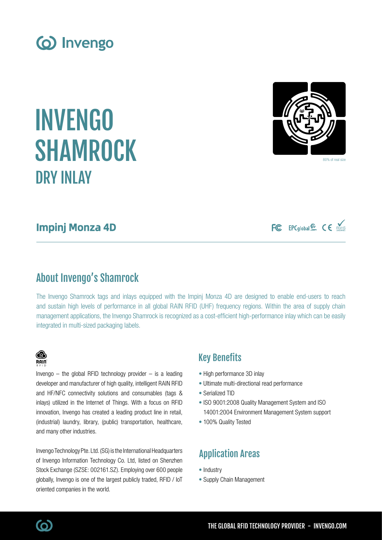

INVENGO

# Impinj Monza 4D

DRY INLAY

SHAMROCK

## About Invengo's Shamrock

Invengo  $-$  the global RFID technology provider  $-$  is a leading

innovation, Invengo has created a leading product line in retail, (industrial) laundry, library, (public) transportation, healthcare,

Invengo Technology Pte. Ltd. (SG) is the International Headquarters of Invengo Information Technology Co. Ltd, listed on Shenzhen Stock Exchange (SZSE: 002161.SZ). Employing over 600 people globally, Invengo is one of the largest publicly traded, RFID / IoT

The Invengo Shamrock tags and inlays equipped with the Impinj Monza 4D are designed to enable end-users to reach and sustain high levels of performance in all global RAIN RFID (UHF) frequency regions. Within the area of supply chain management applications, the Invengo Shamrock is recognized as a cost-efficient high-performance inlay which can be easily integrated in multi-sized packaging labels.

### Key Benefits

- High performance 3D inlay
- Ultimate multi-directional read performance
- Serialized TID
- ISO 9001:2008 Quality Management System and ISO 14001:2004 Environment Management System support
- 100% Quality Tested

## Application Areas

- Industry
- Supply Chain Management









**B RAIN** 

and many other industries.

oriented companies in the world.

FC EPCglobal<sup>50</sup> CE ROHS